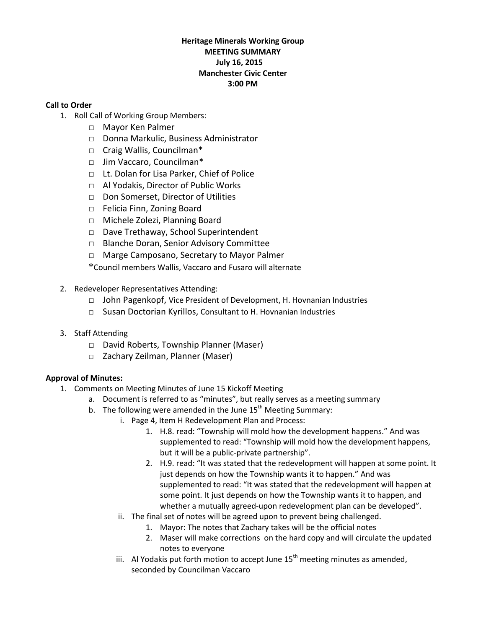## **Heritage Minerals Working Group MEETING SUMMARY July 16, 2015 Manchester Civic Center 3:00 PM**

### **Call to Order**

- 1. Roll Call of Working Group Members:
	- □ Mayor Ken Palmer
	- □ Donna Markulic, Business Administrator
	- □ Craig Wallis, Councilman\*
	- □ Jim Vaccaro, Councilman\*
	- □ Lt. Dolan for Lisa Parker, Chief of Police
	- □ Al Yodakis, Director of Public Works
	- □ Don Somerset, Director of Utilities
	- □ Felicia Finn, Zoning Board
	- □ Michele Zolezi, Planning Board
	- □ Dave Trethaway, School Superintendent
	- □ Blanche Doran, Senior Advisory Committee
	- □ Marge Camposano, Secretary to Mayor Palmer

\*Council members Wallis, Vaccaro and Fusaro will alternate

- 2. Redeveloper Representatives Attending:
	- □ John Pagenkopf, Vice President of Development, H. Hovnanian Industries
	- □ Susan Doctorian Kyrillos, Consultant to H. Hovnanian Industries
- 3. Staff Attending
	- □ David Roberts, Township Planner (Maser)
	- □ Zachary Zeilman, Planner (Maser)

# **Approval of Minutes:**

- 1. Comments on Meeting Minutes of June 15 Kickoff Meeting
	- a. Document is referred to as "minutes", but really serves as a meeting summary
	- b. The following were amended in the June  $15<sup>th</sup>$  Meeting Summary:
		- i. Page 4, Item H Redevelopment Plan and Process:
			- 1. H.8. read: "Township will mold how the development happens." And was supplemented to read: "Township will mold how the development happens, but it will be a public-private partnership".
			- 2. H.9. read: "It was stated that the redevelopment will happen at some point. It just depends on how the Township wants it to happen." And was supplemented to read: "It was stated that the redevelopment will happen at some point. It just depends on how the Township wants it to happen, and whether a mutually agreed-upon redevelopment plan can be developed".
		- ii. The final set of notes will be agreed upon to prevent being challenged.
			- 1. Mayor: The notes that Zachary takes will be the official notes
			- 2. Maser will make corrections on the hard copy and will circulate the updated notes to everyone
		- iii. Al Yodakis put forth motion to accept June  $15<sup>th</sup>$  meeting minutes as amended, seconded by Councilman Vaccaro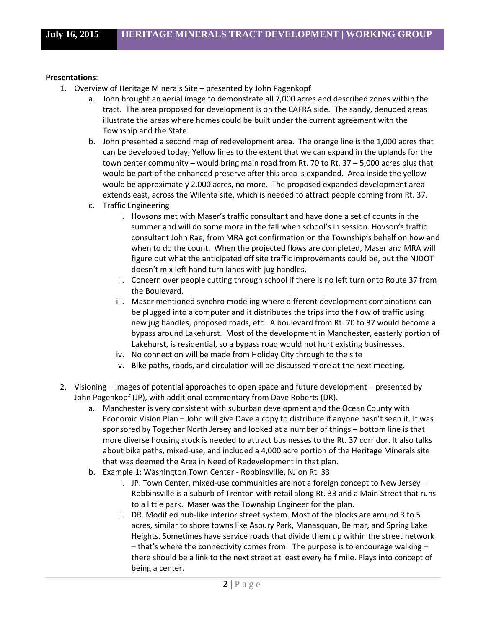#### **Presentations**:

- 1. Overview of Heritage Minerals Site presented by John Pagenkopf
	- a. John brought an aerial image to demonstrate all 7,000 acres and described zones within the tract. The area proposed for development is on the CAFRA side. The sandy, denuded areas illustrate the areas where homes could be built under the current agreement with the Township and the State.
	- b. John presented a second map of redevelopment area. The orange line is the 1,000 acres that can be developed today; Yellow lines to the extent that we can expand in the uplands for the town center community – would bring main road from Rt. 70 to Rt. 37 – 5,000 acres plus that would be part of the enhanced preserve after this area is expanded. Area inside the yellow would be approximately 2,000 acres, no more. The proposed expanded development area extends east, across the Wilenta site, which is needed to attract people coming from Rt. 37.
	- c. Traffic Engineering
		- i. Hovsons met with Maser's traffic consultant and have done a set of counts in the summer and will do some more in the fall when school's in session. Hovson's traffic consultant John Rae, from MRA got confirmation on the Township's behalf on how and when to do the count. When the projected flows are completed, Maser and MRA will figure out what the anticipated off site traffic improvements could be, but the NJDOT doesn't mix left hand turn lanes with jug handles.
		- ii. Concern over people cutting through school if there is no left turn onto Route 37 from the Boulevard.
		- iii. Maser mentioned synchro modeling where different development combinations can be plugged into a computer and it distributes the trips into the flow of traffic using new jug handles, proposed roads, etc. A boulevard from Rt. 70 to 37 would become a bypass around Lakehurst. Most of the development in Manchester, easterly portion of Lakehurst, is residential, so a bypass road would not hurt existing businesses.
		- iv. No connection will be made from Holiday City through to the site
		- v. Bike paths, roads, and circulation will be discussed more at the next meeting.
- 2. Visioning Images of potential approaches to open space and future development presented by John Pagenkopf (JP), with additional commentary from Dave Roberts (DR).
	- a. Manchester is very consistent with suburban development and the Ocean County with Economic Vision Plan – John will give Dave a copy to distribute if anyone hasn't seen it. It was sponsored by Together North Jersey and looked at a number of things – bottom line is that more diverse housing stock is needed to attract businesses to the Rt. 37 corridor. It also talks about bike paths, mixed-use, and included a 4,000 acre portion of the Heritage Minerals site that was deemed the Area in Need of Redevelopment in that plan.
	- b. Example 1: Washington Town Center Robbinsville, NJ on Rt. 33
		- i. JP. Town Center, mixed-use communities are not a foreign concept to New Jersey Robbinsville is a suburb of Trenton with retail along Rt. 33 and a Main Street that runs to a little park. Maser was the Township Engineer for the plan.
		- ii. DR. Modified hub-like interior street system. Most of the blocks are around 3 to 5 acres, similar to shore towns like Asbury Park, Manasquan, Belmar, and Spring Lake Heights. Sometimes have service roads that divide them up within the street network  $-$  that's where the connectivity comes from. The purpose is to encourage walking  $$ there should be a link to the next street at least every half mile. Plays into concept of being a center.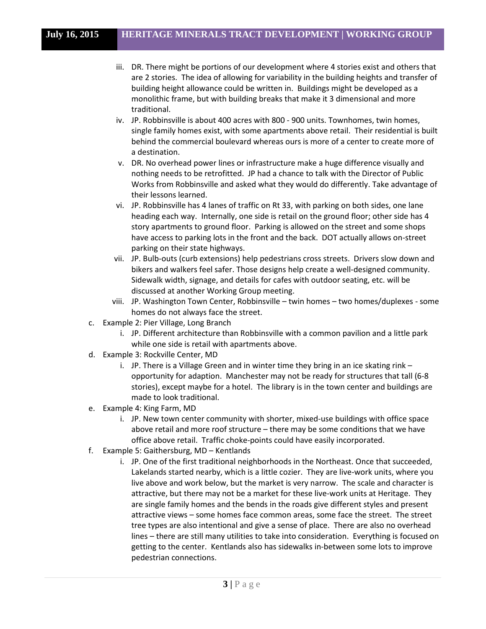- iii. DR. There might be portions of our development where 4 stories exist and others that are 2 stories. The idea of allowing for variability in the building heights and transfer of building height allowance could be written in. Buildings might be developed as a monolithic frame, but with building breaks that make it 3 dimensional and more traditional.
- iv. JP. Robbinsville is about 400 acres with 800 900 units. Townhomes, twin homes, single family homes exist, with some apartments above retail. Their residential is built behind the commercial boulevard whereas ours is more of a center to create more of a destination.
- v. DR. No overhead power lines or infrastructure make a huge difference visually and nothing needs to be retrofitted. JP had a chance to talk with the Director of Public Works from Robbinsville and asked what they would do differently. Take advantage of their lessons learned.
- vi. JP. Robbinsville has 4 lanes of traffic on Rt 33, with parking on both sides, one lane heading each way. Internally, one side is retail on the ground floor; other side has 4 story apartments to ground floor. Parking is allowed on the street and some shops have access to parking lots in the front and the back. DOT actually allows on-street parking on their state highways.
- vii. JP. Bulb-outs (curb extensions) help pedestrians cross streets. Drivers slow down and bikers and walkers feel safer. Those designs help create a well-designed community. Sidewalk width, signage, and details for cafes with outdoor seating, etc. will be discussed at another Working Group meeting.
- viii. JP. Washington Town Center, Robbinsville twin homes two homes/duplexes some homes do not always face the street.
- c. Example 2: Pier Village, Long Branch
	- i. JP. Different architecture than Robbinsville with a common pavilion and a little park while one side is retail with apartments above.
- d. Example 3: Rockville Center, MD
	- i. JP. There is a Village Green and in winter time they bring in an ice skating rink opportunity for adaption. Manchester may not be ready for structures that tall (6-8 stories), except maybe for a hotel. The library is in the town center and buildings are made to look traditional.
- e. Example 4: King Farm, MD
	- i. JP. New town center community with shorter, mixed-use buildings with office space above retail and more roof structure – there may be some conditions that we have office above retail. Traffic choke-points could have easily incorporated.
- f. Example 5: Gaithersburg, MD Kentlands
	- i. JP. One of the first traditional neighborhoods in the Northeast. Once that succeeded, Lakelands started nearby, which is a little cozier. They are live-work units, where you live above and work below, but the market is very narrow. The scale and character is attractive, but there may not be a market for these live-work units at Heritage. They are single family homes and the bends in the roads give different styles and present attractive views – some homes face common areas, some face the street. The street tree types are also intentional and give a sense of place. There are also no overhead lines – there are still many utilities to take into consideration. Everything is focused on getting to the center. Kentlands also has sidewalks in-between some lots to improve pedestrian connections.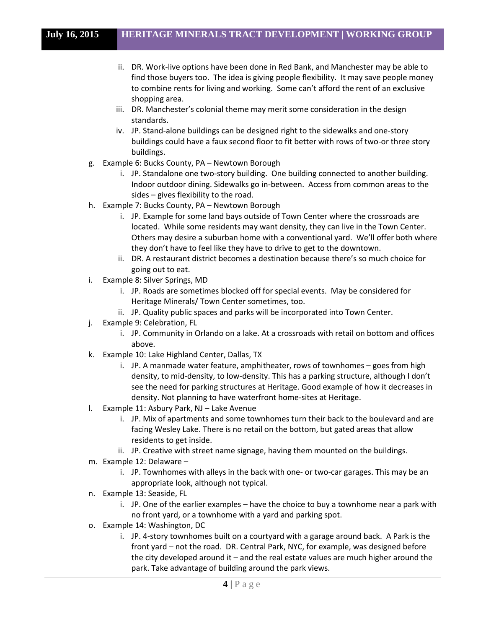- ii. DR. Work-live options have been done in Red Bank, and Manchester may be able to find those buyers too. The idea is giving people flexibility. It may save people money to combine rents for living and working. Some can't afford the rent of an exclusive shopping area.
- iii. DR. Manchester's colonial theme may merit some consideration in the design standards.
- iv. JP. Stand-alone buildings can be designed right to the sidewalks and one-story buildings could have a faux second floor to fit better with rows of two-or three story buildings.
- g. Example 6: Bucks County, PA Newtown Borough
	- i. JP. Standalone one two-story building. One building connected to another building. Indoor outdoor dining. Sidewalks go in-between. Access from common areas to the sides – gives flexibility to the road.
- h. Example 7: Bucks County, PA Newtown Borough
	- i. JP. Example for some land bays outside of Town Center where the crossroads are located. While some residents may want density, they can live in the Town Center. Others may desire a suburban home with a conventional yard. We'll offer both where they don't have to feel like they have to drive to get to the downtown.
	- ii. DR. A restaurant district becomes a destination because there's so much choice for going out to eat.
- i. Example 8: Silver Springs, MD
	- i. JP. Roads are sometimes blocked off for special events. May be considered for Heritage Minerals/ Town Center sometimes, too.
	- ii. JP. Quality public spaces and parks will be incorporated into Town Center.
- j. Example 9: Celebration, FL
	- i. JP. Community in Orlando on a lake. At a crossroads with retail on bottom and offices above.
- k. Example 10: Lake Highland Center, Dallas, TX
	- i. JP. A manmade water feature, amphitheater, rows of townhomes goes from high density, to mid-density, to low-density. This has a parking structure, although I don't see the need for parking structures at Heritage. Good example of how it decreases in density. Not planning to have waterfront home-sites at Heritage.
- l. Example 11: Asbury Park, NJ Lake Avenue
	- i. JP. Mix of apartments and some townhomes turn their back to the boulevard and are facing Wesley Lake. There is no retail on the bottom, but gated areas that allow residents to get inside.
	- ii. JP. Creative with street name signage, having them mounted on the buildings.
- m. Example 12: Delaware
	- i. JP. Townhomes with alleys in the back with one- or two-car garages. This may be an appropriate look, although not typical.
- n. Example 13: Seaside, FL
	- i. JP. One of the earlier examples have the choice to buy a townhome near a park with no front yard, or a townhome with a yard and parking spot.
- o. Example 14: Washington, DC
	- i. JP. 4-story townhomes built on a courtyard with a garage around back. A Park is the front yard – not the road. DR. Central Park, NYC, for example, was designed before the city developed around it – and the real estate values are much higher around the park. Take advantage of building around the park views.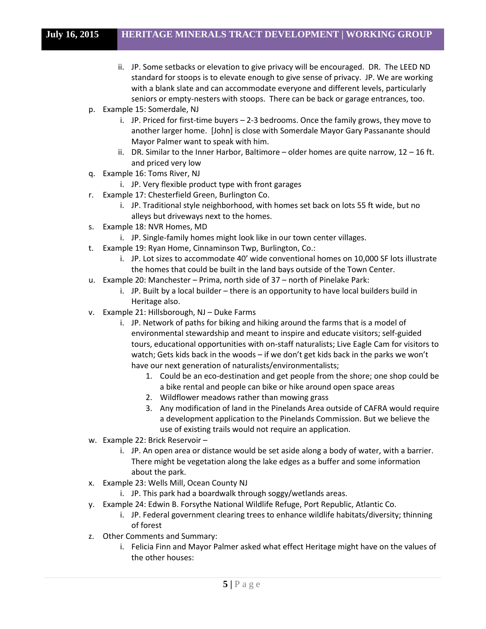- ii. JP. Some setbacks or elevation to give privacy will be encouraged. DR. The LEED ND standard for stoops is to elevate enough to give sense of privacy. JP. We are working with a blank slate and can accommodate everyone and different levels, particularly seniors or empty-nesters with stoops. There can be back or garage entrances, too.
- p. Example 15: Somerdale, NJ
	- i. JP. Priced for first-time buyers 2-3 bedrooms. Once the family grows, they move to another larger home. [John] is close with Somerdale Mayor Gary Passanante should Mayor Palmer want to speak with him.
	- ii. DR. Similar to the Inner Harbor, Baltimore older homes are quite narrow,  $12 16$  ft. and priced very low
- q. Example 16: Toms River, NJ
	- i. JP. Very flexible product type with front garages
- r. Example 17: Chesterfield Green, Burlington Co.
	- i. JP. Traditional style neighborhood, with homes set back on lots 55 ft wide, but no alleys but driveways next to the homes.
- s. Example 18: NVR Homes, MD
	- i. JP. Single-family homes might look like in our town center villages.
- t. Example 19: Ryan Home, Cinnaminson Twp, Burlington, Co.:
	- i. JP. Lot sizes to accommodate 40' wide conventional homes on 10,000 SF lots illustrate the homes that could be built in the land bays outside of the Town Center.
- u. Example 20: Manchester Prima, north side of 37 north of Pinelake Park:
	- i. JP. Built by a local builder there is an opportunity to have local builders build in Heritage also.
- v. Example 21: Hillsborough, NJ Duke Farms
	- i. JP. Network of paths for biking and hiking around the farms that is a model of environmental stewardship and meant to inspire and educate visitors; self-guided tours, educational opportunities with on-staff naturalists; Live Eagle Cam for visitors to watch; Gets kids back in the woods – if we don't get kids back in the parks we won't have our next generation of naturalists/environmentalists;
		- 1. Could be an eco-destination and get people from the shore; one shop could be a bike rental and people can bike or hike around open space areas
		- 2. Wildflower meadows rather than mowing grass
		- 3. Any modification of land in the Pinelands Area outside of CAFRA would require a development application to the Pinelands Commission. But we believe the use of existing trails would not require an application.
- w. Example 22: Brick Reservoir
	- i. JP. An open area or distance would be set aside along a body of water, with a barrier. There might be vegetation along the lake edges as a buffer and some information about the park.
- x. Example 23: Wells Mill, Ocean County NJ
	- i. JP. This park had a boardwalk through soggy/wetlands areas.
- y. Example 24: Edwin B. Forsythe National Wildlife Refuge, Port Republic, Atlantic Co.
	- i. JP. Federal government clearing trees to enhance wildlife habitats/diversity; thinning of forest
- z. Other Comments and Summary:
	- i. Felicia Finn and Mayor Palmer asked what effect Heritage might have on the values of the other houses: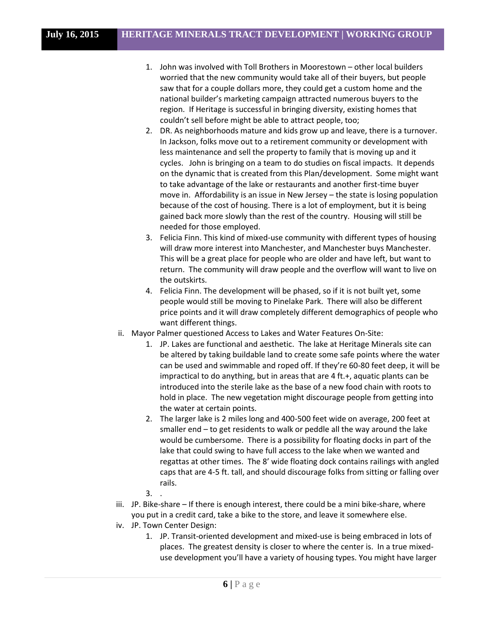- 1. John was involved with Toll Brothers in Moorestown other local builders worried that the new community would take all of their buyers, but people saw that for a couple dollars more, they could get a custom home and the national builder's marketing campaign attracted numerous buyers to the region. If Heritage is successful in bringing diversity, existing homes that couldn't sell before might be able to attract people, too;
- 2. DR. As neighborhoods mature and kids grow up and leave, there is a turnover. In Jackson, folks move out to a retirement community or development with less maintenance and sell the property to family that is moving up and it cycles. John is bringing on a team to do studies on fiscal impacts. It depends on the dynamic that is created from this Plan/development. Some might want to take advantage of the lake or restaurants and another first-time buyer move in. Affordability is an issue in New Jersey – the state is losing population because of the cost of housing. There is a lot of employment, but it is being gained back more slowly than the rest of the country. Housing will still be needed for those employed.
- 3. Felicia Finn. This kind of mixed-use community with different types of housing will draw more interest into Manchester, and Manchester buys Manchester. This will be a great place for people who are older and have left, but want to return. The community will draw people and the overflow will want to live on the outskirts.
- 4. Felicia Finn. The development will be phased, so if it is not built yet, some people would still be moving to Pinelake Park. There will also be different price points and it will draw completely different demographics of people who want different things.
- ii. Mayor Palmer questioned Access to Lakes and Water Features On-Site:
	- 1. JP. Lakes are functional and aesthetic. The lake at Heritage Minerals site can be altered by taking buildable land to create some safe points where the water can be used and swimmable and roped off. If they're 60-80 feet deep, it will be impractical to do anything, but in areas that are 4 ft.+, aquatic plants can be introduced into the sterile lake as the base of a new food chain with roots to hold in place. The new vegetation might discourage people from getting into the water at certain points.
	- 2. The larger lake is 2 miles long and 400-500 feet wide on average, 200 feet at smaller end – to get residents to walk or peddle all the way around the lake would be cumbersome. There is a possibility for floating docks in part of the lake that could swing to have full access to the lake when we wanted and regattas at other times. The 8' wide floating dock contains railings with angled caps that are 4-5 ft. tall, and should discourage folks from sitting or falling over rails.
	- 3. .
- iii. JP. Bike-share If there is enough interest, there could be a mini bike-share, where you put in a credit card, take a bike to the store, and leave it somewhere else.
- iv. JP. Town Center Design:
	- 1. JP. Transit-oriented development and mixed-use is being embraced in lots of places. The greatest density is closer to where the center is. In a true mixeduse development you'll have a variety of housing types. You might have larger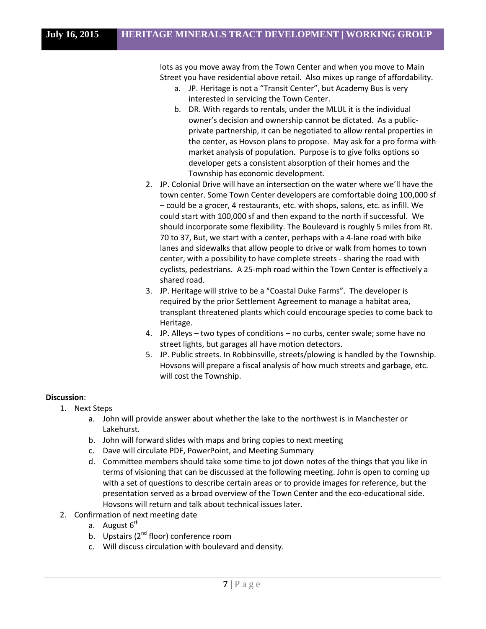lots as you move away from the Town Center and when you move to Main Street you have residential above retail. Also mixes up range of affordability.

- a. JP. Heritage is not a "Transit Center", but Academy Bus is very interested in servicing the Town Center.
- b. DR. With regards to rentals, under the MLUL it is the individual owner's decision and ownership cannot be dictated. As a publicprivate partnership, it can be negotiated to allow rental properties in the center, as Hovson plans to propose. May ask for a pro forma with market analysis of population. Purpose is to give folks options so developer gets a consistent absorption of their homes and the Township has economic development.
- 2. JP. Colonial Drive will have an intersection on the water where we'll have the town center. Some Town Center developers are comfortable doing 100,000 sf – could be a grocer, 4 restaurants, etc. with shops, salons, etc. as infill. We could start with 100,000 sf and then expand to the north if successful. We should incorporate some flexibility. The Boulevard is roughly 5 miles from Rt. 70 to 37, But, we start with a center, perhaps with a 4-lane road with bike lanes and sidewalks that allow people to drive or walk from homes to town center, with a possibility to have complete streets - sharing the road with cyclists, pedestrians. A 25-mph road within the Town Center is effectively a shared road.
- 3. JP. Heritage will strive to be a "Coastal Duke Farms". The developer is required by the prior Settlement Agreement to manage a habitat area, transplant threatened plants which could encourage species to come back to Heritage.
- 4. JP. Alleys two types of conditions no curbs, center swale; some have no street lights, but garages all have motion detectors.
- 5. JP. Public streets. In Robbinsville, streets/plowing is handled by the Township. Hovsons will prepare a fiscal analysis of how much streets and garbage, etc. will cost the Township.

# **Discussion**:

- 1. Next Steps
	- a. John will provide answer about whether the lake to the northwest is in Manchester or Lakehurst.
	- b. John will forward slides with maps and bring copies to next meeting
	- c. Dave will circulate PDF, PowerPoint, and Meeting Summary
	- d. Committee members should take some time to jot down notes of the things that you like in terms of visioning that can be discussed at the following meeting. John is open to coming up with a set of questions to describe certain areas or to provide images for reference, but the presentation served as a broad overview of the Town Center and the eco-educational side. Hovsons will return and talk about technical issues later.
- 2. Confirmation of next meeting date
	- a. August  $6<sup>th</sup>$
	- b. Upstairs  $(2^{nd}$  floor) conference room
	- c. Will discuss circulation with boulevard and density.